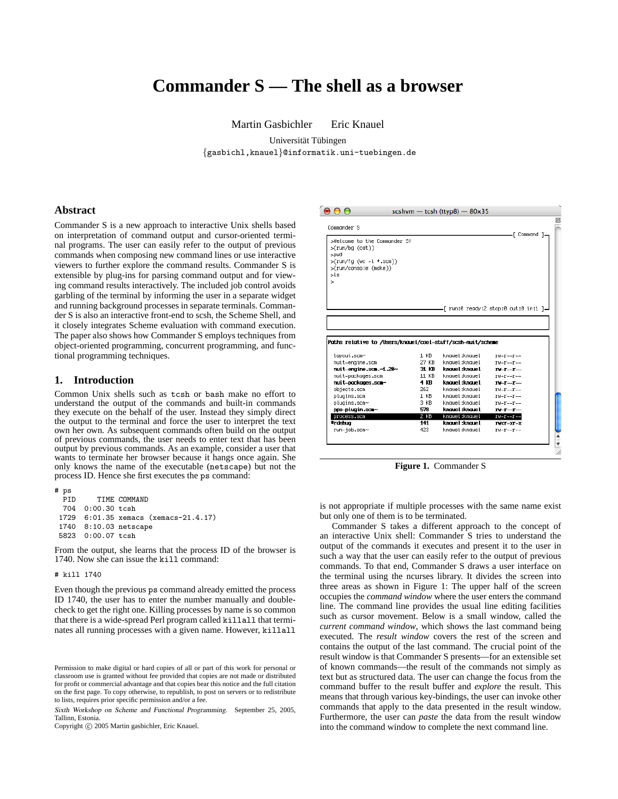# **Commander S — The shell as a browser**

Martin Gasbichler Eric Knauel

Universität Tübingen {gasbichl,knauel}@informatik.uni-tuebingen.de

**Abstract**

Commander S is a new approach to interactive Unix shells based on interpretation of command output and cursor-oriented terminal programs. The user can easily refer to the output of previous commands when composing new command lines or use interactive viewers to further explore the command results. Commander S is extensible by plug-ins for parsing command output and for viewing command results interactively. The included job control avoids garbling of the terminal by informing the user in a separate widget and running background processes in separate terminals. Commander S is also an interactive front-end to scsh, the Scheme Shell, and it closely integrates Scheme evaluation with command execution. The paper also shows how Commander S employs techniques from object-oriented programming, concurrent programming, and functional programming techniques.

# **1. Introduction**

Common Unix shells such as tcsh or bash make no effort to understand the output of the commands and built-in commands they execute on the behalf of the user. Instead they simply direct the output to the terminal and force the user to interpret the text own her own. As subsequent commands often build on the output of previous commands, the user needs to enter text that has been output by previous commands. As an example, consider a user that wants to terminate her browser because it hangs once again. She only knows the name of the executable (netscape) but not the process ID. Hence she first executes the ps command:

# ps PID TIME COMMAND<br>704 0:00.30 tcsh 0:00.30 tcsh 1729 6:01.35 xemacs (xemacs-21.4.17) 1740 8:10.03 netscape 5823 0:00.07 tcsh

From the output, she learns that the process ID of the browser is 1740. Now she can issue the kill command:

#### # kill 1740

Even though the previous ps command already emitted the process ID 1740, the user has to enter the number manually and doublecheck to get the right one. Killing processes by name is so common that there is a wide-spread Perl program called killall that terminates all running processes with a given name. However, killall

Copyright  $\odot$  2005 Martin gasbichler, Eric Knauel.



**Figure 1.** Commander S

is not appropriate if multiple processes with the same name exist but only one of them is to be terminated.

Commander S takes a different approach to the concept of an interactive Unix shell: Commander S tries to understand the output of the commands it executes and present it to the user in such a way that the user can easily refer to the output of previous commands. To that end, Commander S draws a user interface on the terminal using the ncurses library. It divides the screen into three areas as shown in Figure 1: The upper half of the screen occupies the *command window* where the user enters the command line. The command line provides the usual line editing facilities such as cursor movement. Below is a small window, called the *current command window*, which shows the last command being executed. The *result window* covers the rest of the screen and contains the output of the last command. The crucial point of the result window is that Commander S presents—for an extensible set of known commands—the result of the commands not simply as text but as structured data. The user can change the focus from the command buffer to the result buffer and *explore* the result. This means that through various key-bindings, the user can invoke other commands that apply to the data presented in the result window. Furthermore, the user can *paste* the data from the result window into the command window to complete the next command line.

Permission to make digital or hard copies of all or part of this work for personal or classroom use is granted without fee provided that copies are not made or distributed for profit or commercial advantage and that copies bear this notice and the full citation on the first page. To copy otherwise, to republish, to post on servers or to redistribute to lists, requires prior specific permission and/or a fee.

Sixth Workshop on Scheme and Functional Programming. September 25, 2005, Tallinn, Estonia.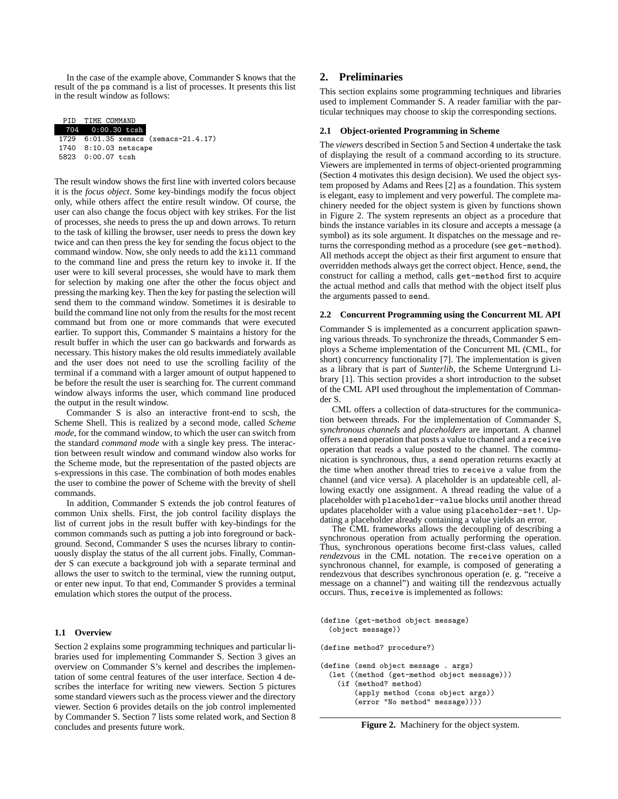In the case of the example above, Commander S knows that the result of the ps command is a list of processes. It presents this list in the result window as follows:

| PID TIME COMMAND      |                                      |
|-----------------------|--------------------------------------|
| 704 0:00.30 tcsh      |                                      |
|                       | 1729 6:01.35 xemacs (xemacs-21.4.17) |
| 1740 8:10.03 netscape |                                      |
| 5823 0:00.07 tcsh     |                                      |

The result window shows the first line with inverted colors because it is the *focus object*. Some key-bindings modify the focus object only, while others affect the entire result window. Of course, the user can also change the focus object with key strikes. For the list of processes, she needs to press the up and down arrows. To return to the task of killing the browser, user needs to press the down key twice and can then press the key for sending the focus object to the command window. Now, she only needs to add the kill command to the command line and press the return key to invoke it. If the user were to kill several processes, she would have to mark them for selection by making one after the other the focus object and pressing the marking key. Then the key for pasting the selection will send them to the command window. Sometimes it is desirable to build the command line not only from the results for the most recent command but from one or more commands that were executed earlier. To support this, Commander S maintains a history for the result buffer in which the user can go backwards and forwards as necessary. This history makes the old results immediately available and the user does not need to use the scrolling facility of the terminal if a command with a larger amount of output happened to be before the result the user is searching for. The current command window always informs the user, which command line produced the output in the result window.

Commander S is also an interactive front-end to scsh, the Scheme Shell. This is realized by a second mode, called *Scheme mode*, for the command window, to which the user can switch from the standard *command mode* with a single key press. The interaction between result window and command window also works for the Scheme mode, but the representation of the pasted objects are s-expressions in this case. The combination of both modes enables the user to combine the power of Scheme with the brevity of shell commands.

In addition, Commander S extends the job control features of common Unix shells. First, the job control facility displays the list of current jobs in the result buffer with key-bindings for the common commands such as putting a job into foreground or background. Second, Commander S uses the ncurses library to continuously display the status of the all current jobs. Finally, Commander S can execute a background job with a separate terminal and allows the user to switch to the terminal, view the running output, or enter new input. To that end, Commander S provides a terminal emulation which stores the output of the process.

## **1.1 Overview**

Section 2 explains some programming techniques and particular libraries used for implementing Commander S. Section 3 gives an overview on Commander S's kernel and describes the implementation of some central features of the user interface. Section 4 describes the interface for writing new viewers. Section 5 pictures some standard viewers such as the process viewer and the directory viewer. Section 6 provides details on the job control implemented by Commander S. Section 7 lists some related work, and Section 8 concludes and presents future work.

# **2. Preliminaries**

This section explains some programming techniques and libraries used to implement Commander S. A reader familiar with the particular techniques may choose to skip the corresponding sections.

#### **2.1 Object-oriented Programming in Scheme**

The *viewers* described in Section 5 and Section 4 undertake the task of displaying the result of a command according to its structure. Viewers are implemented in terms of object-oriented programming (Section 4 motivates this design decision). We used the object system proposed by Adams and Rees [2] as a foundation. This system is elegant, easy to implement and very powerful. The complete machinery needed for the object system is given by functions shown in Figure 2. The system represents an object as a procedure that binds the instance variables in its closure and accepts a message (a symbol) as its sole argument. It dispatches on the message and returns the corresponding method as a procedure (see get-method). All methods accept the object as their first argument to ensure that overridden methods always get the correct object. Hence, send, the construct for calling a method, calls get-method first to acquire the actual method and calls that method with the object itself plus the arguments passed to send.

## **2.2 Concurrent Programming using the Concurrent ML API**

Commander S is implemented as a concurrent application spawning various threads. To synchronize the threads, Commander S employs a Scheme implementation of the Concurrent ML (CML, for short) concurrency functionality [7]. The implementation is given as a library that is part of *Sunterlib*, the Scheme Untergrund Library [1]. This section provides a short introduction to the subset of the CML API used throughout the implementation of Commander S.

CML offers a collection of data-structures for the communication between threads. For the implementation of Commander S, *synchronous channels* and *placeholders* are important. A channel offers a send operation that posts a value to channel and a receive operation that reads a value posted to the channel. The communication is synchronous, thus, a send operation returns exactly at the time when another thread tries to receive a value from the channel (and vice versa). A placeholder is an updateable cell, allowing exactly one assignment. A thread reading the value of a placeholder with placeholder-value blocks until another thread updates placeholder with a value using placeholder-set!. Updating a placeholder already containing a value yields an error.

The CML frameworks allows the decoupling of describing a synchronous operation from actually performing the operation. Thus, synchronous operations become first-class values, called *rendezvous* in the CML notation. The receive operation on a synchronous channel, for example, is composed of generating a rendezvous that describes synchronous operation (e. g. "receive a message on a channel") and waiting till the rendezvous actually occurs. Thus, receive is implemented as follows:

(define (get-method object message) (object message))

(define method? procedure?)

- (define (send object message . args)
	- (let ((method (get-method object message))) (if (method? method)
		- (apply method (cons object args)) (error "No method" message))))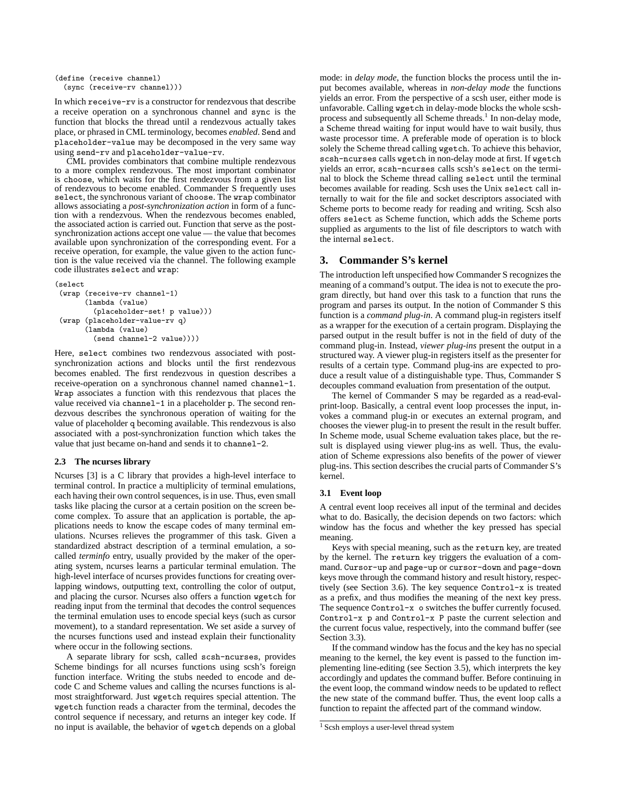```
(define (receive channel)
  (sync (receive-rv channel)))
```
In which receive-rv is a constructor for rendezvous that describe a receive operation on a synchronous channel and sync is the function that blocks the thread until a rendezvous actually takes place, or phrased in CML terminology, becomes *enabled*. Send and placeholder-value may be decomposed in the very same way using send-rv and placeholder-value-rv.

CML provides combinators that combine multiple rendezvous to a more complex rendezvous. The most important combinator is choose, which waits for the first rendezvous from a given list of rendezvous to become enabled. Commander S frequently uses select, the synchronous variant of choose. The wrap combinator allows associating a *post-synchronization action* in form of a function with a rendezvous. When the rendezvous becomes enabled, the associated action is carried out. Function that serve as the postsynchronization actions accept one value — the value that becomes available upon synchronization of the corresponding event. For a receive operation, for example, the value given to the action function is the value received via the channel. The following example code illustrates select and wrap:

```
(select
(wrap (receive-rv channel-1)
       (lambda (value)
         (placeholder-set! p value)))
(wrap (placeholder-value-rv q)
       (lambda (value)
         (send channel-2 value))))
```
Here, select combines two rendezvous associated with postsynchronization actions and blocks until the first rendezvous becomes enabled. The first rendezvous in question describes a receive-operation on a synchronous channel named channel-1. Wrap associates a function with this rendezvous that places the value received via channel-1 in a placeholder p. The second rendezvous describes the synchronous operation of waiting for the value of placeholder q becoming available. This rendezvous is also associated with a post-synchronization function which takes the value that just became on-hand and sends it to channel-2.

#### **2.3 The ncurses library**

Ncurses [3] is a C library that provides a high-level interface to terminal control. In practice a multiplicity of terminal emulations, each having their own control sequences, is in use. Thus, even small tasks like placing the cursor at a certain position on the screen become complex. To assure that an application is portable, the applications needs to know the escape codes of many terminal emulations. Ncurses relieves the programmer of this task. Given a standardized abstract description of a terminal emulation, a socalled *terminfo* entry, usually provided by the maker of the operating system, ncurses learns a particular terminal emulation. The high-level interface of ncurses provides functions for creating overlapping windows, outputting text, controlling the color of output, and placing the cursor. Ncurses also offers a function wgetch for reading input from the terminal that decodes the control sequences the terminal emulation uses to encode special keys (such as cursor movement), to a standard representation. We set aside a survey of the ncurses functions used and instead explain their functionality where occur in the following sections.

A separate library for scsh, called scsh-ncurses, provides Scheme bindings for all ncurses functions using scsh's foreign function interface. Writing the stubs needed to encode and decode C and Scheme values and calling the ncurses functions is almost straightforward. Just wgetch requires special attention. The wgetch function reads a character from the terminal, decodes the control sequence if necessary, and returns an integer key code. If no input is available, the behavior of wgetch depends on a global mode: in *delay mode*, the function blocks the process until the input becomes available, whereas in *non-delay mode* the functions yields an error. From the perspective of a scsh user, either mode is unfavorable. Calling wgetch in delay-mode blocks the whole scshprocess and subsequently all Scheme threads.<sup>1</sup> In non-delay mode, a Scheme thread waiting for input would have to wait busily, thus waste processor time. A preferable mode of operation is to block solely the Scheme thread calling wgetch. To achieve this behavior, scsh-ncurses calls wgetch in non-delay mode at first. If wgetch yields an error, scsh-ncurses calls scsh's select on the terminal to block the Scheme thread calling select until the terminal becomes available for reading. Scsh uses the Unix select call internally to wait for the file and socket descriptors associated with Scheme ports to become ready for reading and writing. Scsh also offers select as Scheme function, which adds the Scheme ports supplied as arguments to the list of file descriptors to watch with the internal select.

# **3. Commander S's kernel**

The introduction left unspecified how Commander S recognizes the meaning of a command's output. The idea is not to execute the program directly, but hand over this task to a function that runs the program and parses its output. In the notion of Commander S this function is a *command plug-in*. A command plug-in registers itself as a wrapper for the execution of a certain program. Displaying the parsed output in the result buffer is not in the field of duty of the command plug-in. Instead, *viewer plug-ins* present the output in a structured way. A viewer plug-in registers itself as the presenter for results of a certain type. Command plug-ins are expected to produce a result value of a distinguishable type. Thus, Commander S decouples command evaluation from presentation of the output.

The kernel of Commander S may be regarded as a read-evalprint-loop. Basically, a central event loop processes the input, invokes a command plug-in or executes an external program, and chooses the viewer plug-in to present the result in the result buffer. In Scheme mode, usual Scheme evaluation takes place, but the result is displayed using viewer plug-ins as well. Thus, the evaluation of Scheme expressions also benefits of the power of viewer plug-ins. This section describes the crucial parts of Commander S's kernel.

#### **3.1 Event loop**

A central event loop receives all input of the terminal and decides what to do. Basically, the decision depends on two factors: which window has the focus and whether the key pressed has special meaning.

Keys with special meaning, such as the return key, are treated by the kernel. The return key triggers the evaluation of a command. Cursor-up and page-up or cursor-down and page-down keys move through the command history and result history, respectively (see Section 3.6). The key sequence Control-x is treated as a prefix, and thus modifies the meaning of the next key press. The sequence Control-x o switches the buffer currently focused. Control-x p and Control-x P paste the current selection and the current focus value, respectively, into the command buffer (see Section 3.3).

If the command window has the focus and the key has no special meaning to the kernel, the key event is passed to the function implementing line-editing (see Section 3.5), which interprets the key accordingly and updates the command buffer. Before continuing in the event loop, the command window needs to be updated to reflect the new state of the command buffer. Thus, the event loop calls a function to repaint the affected part of the command window.

<sup>&</sup>lt;sup>1</sup> Scsh employs a user-level thread system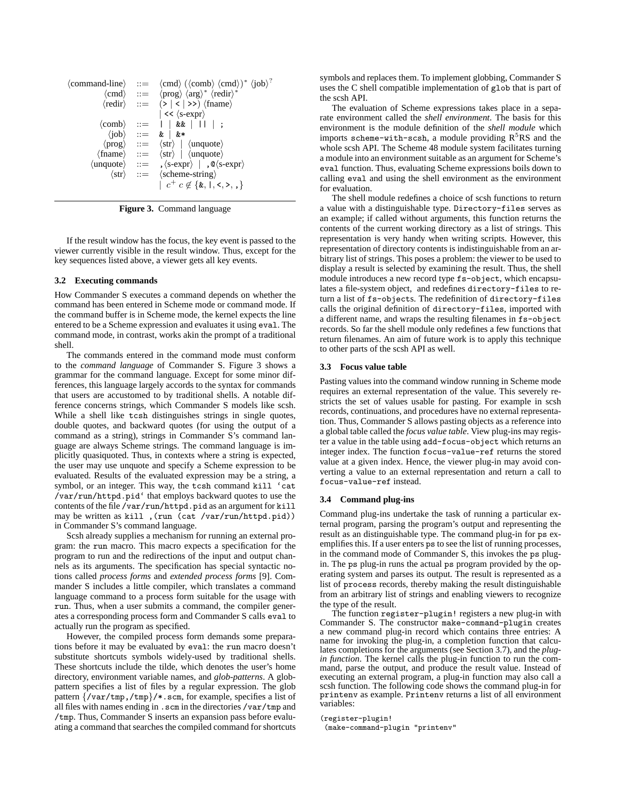|  | $\langle$ command-line $\rangle$ ::= $\langle$ cmd $\rangle$ $(\langle$ comb $\rangle$ $\langle$ cmd $\rangle$ $*$ $\langle$ job $\rangle$ <sup>?</sup> |
|--|---------------------------------------------------------------------------------------------------------------------------------------------------------|
|  | $\langle \text{cmd} \rangle$ ::= $\langle \text{prog} \rangle \langle \text{arg} \rangle^* \langle \text{redir} \rangle^*$                              |
|  | $\langle \text{redir} \rangle$ ::= $(\text{>}  \text{}<   \text{>} \rangle) \langle \text{frame} \rangle$                                               |
|  | $\vert \ll \langle$ s-expr $\rangle$                                                                                                                    |
|  | $\langle \text{comb} \rangle$ ::= $   \& \&      $ ;                                                                                                    |
|  | $\langle \text{job} \rangle$ ::= &   &*                                                                                                                 |
|  | $\langle \text{prog} \rangle$ ::= $\langle \text{str} \rangle$   $\langle \text{unque} \rangle$                                                         |
|  | $\langle \text{frame} \rangle$ ::= $\langle \text{str} \rangle$   $\langle \text{unque} \rangle$                                                        |
|  | $\langle$ unquote $\rangle$ ::= , $\langle$ s-expr $\rangle$   , $\otimes$ $\langle$ s-expr $\rangle$                                                   |
|  | $\langle str \rangle$ ::= $\langle scheme\text{-string} \rangle$                                                                                        |
|  | $c^+ c \notin \{k, 1, \leq, \geq, \}$                                                                                                                   |

**Figure 3.** Command language

If the result window has the focus, the key event is passed to the viewer currently visible in the result window. Thus, except for the key sequences listed above, a viewer gets all key events.

# **3.2 Executing commands**

How Commander S executes a command depends on whether the command has been entered in Scheme mode or command mode. If the command buffer is in Scheme mode, the kernel expects the line entered to be a Scheme expression and evaluates it using eval. The command mode, in contrast, works akin the prompt of a traditional shell.

The commands entered in the command mode must conform to the *command language* of Commander S. Figure 3 shows a grammar for the command language. Except for some minor differences, this language largely accords to the syntax for commands that users are accustomed to by traditional shells. A notable difference concerns strings, which Commander S models like scsh. While a shell like tcsh distinguishes strings in single quotes, double quotes, and backward quotes (for using the output of a command as a string), strings in Commander S's command language are always Scheme strings. The command language is implicitly quasiquoted. Thus, in contexts where a string is expected, the user may use unquote and specify a Scheme expression to be evaluated. Results of the evaluated expression may be a string, a symbol, or an integer. This way, the tcsh command kill 'cat /var/run/httpd.pid' that employs backward quotes to use the contents of the file /var/run/httpd.pid as an argument for kill may be written as kill ,(run (cat /var/run/httpd.pid)) in Commander S's command language.

Scsh already supplies a mechanism for running an external program: the run macro. This macro expects a specification for the program to run and the redirections of the input and output channels as its arguments. The specification has special syntactic notions called *process forms* and *extended process forms* [9]. Commander S includes a little compiler, which translates a command language command to a process form suitable for the usage with run. Thus, when a user submits a command, the compiler generates a corresponding process form and Commander S calls eval to actually run the program as specified.

However, the compiled process form demands some preparations before it may be evaluated by eval: the run macro doesn't substitute shortcuts symbols widely-used by traditional shells. These shortcuts include the tilde, which denotes the user's home directory, environment variable names, and *glob-patterns*. A globpattern specifies a list of files by a regular expression. The glob pattern {/var/tmp,/tmp}/\*.scm, for example, specifies a list of all files with names ending in .scm in the directories /var/tmp and /tmp. Thus, Commander S inserts an expansion pass before evaluating a command that searches the compiled command for shortcuts symbols and replaces them. To implement globbing, Commander S uses the C shell compatible implementation of glob that is part of the scsh API.

The evaluation of Scheme expressions takes place in a separate environment called the *shell environment*. The basis for this environment is the module definition of the *shell module* which imports scheme-with-scsh, a module providing  $R<sup>5</sup>RS$  and the whole scsh API. The Scheme 48 module system facilitates turning a module into an environment suitable as an argument for Scheme's eval function. Thus, evaluating Scheme expressions boils down to calling eval and using the shell environment as the environment for evaluation.

The shell module redefines a choice of scsh functions to return a value with a distinguishable type. Directory-files serves as an example; if called without arguments, this function returns the contents of the current working directory as a list of strings. This representation is very handy when writing scripts. However, this representation of directory contents is indistinguishable from an arbitrary list of strings. This poses a problem: the viewer to be used to display a result is selected by examining the result. Thus, the shell module introduces a new record type fs-object, which encapsulates a file-system object, and redefines directory-files to return a list of fs-objects. The redefinition of directory-files calls the original definition of directory-files, imported with a different name, and wraps the resulting filenames in fs-object records. So far the shell module only redefines a few functions that return filenames. An aim of future work is to apply this technique to other parts of the scsh API as well.

#### **3.3 Focus value table**

Pasting values into the command window running in Scheme mode requires an external representation of the value. This severely restricts the set of values usable for pasting. For example in scsh records, continuations, and procedures have no external representation. Thus, Commander S allows pasting objects as a reference into a global table called the *focus value table*. View plug-ins may register a value in the table using add-focus-object which returns an integer index. The function focus-value-ref returns the stored value at a given index. Hence, the viewer plug-in may avoid converting a value to an external representation and return a call to focus-value-ref instead.

#### **3.4 Command plug-ins**

Command plug-ins undertake the task of running a particular external program, parsing the program's output and representing the result as an distinguishable type. The command plug-in for ps exemplifies this. If a user enters ps to see the list of running processes, in the command mode of Commander S, this invokes the ps plugin. The ps plug-in runs the actual ps program provided by the operating system and parses its output. The result is represented as a list of process records, thereby making the result distinguishable from an arbitrary list of strings and enabling viewers to recognize the type of the result.

The function register-plugin! registers a new plug-in with Commander S. The constructor make-command-plugin creates a new command plug-in record which contains three entries: A name for invoking the plug-in, a completion function that calculates completions for the arguments (see Section 3.7), and the *plugin function*. The kernel calls the plug-in function to run the command, parse the output, and produce the result value. Instead of executing an external program, a plug-in function may also call a scsh function. The following code shows the command plug-in for printenv as example. Printenv returns a list of all environment variables:

(register-plugin!

(make-command-plugin "printenv"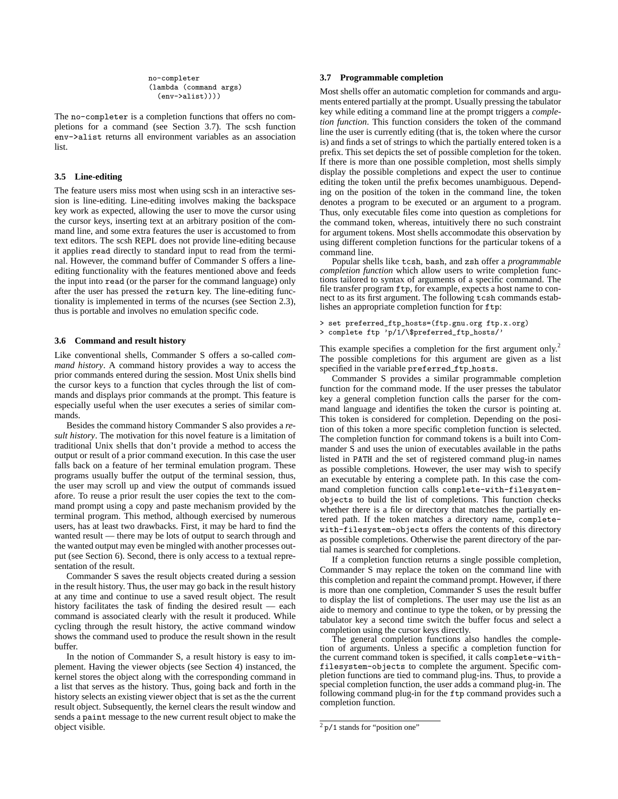no-completer (lambda (command args) (env->alist))))

The no-completer is a completion functions that offers no completions for a command (see Section 3.7). The scsh function env->alist returns all environment variables as an association list.

# **3.5 Line-editing**

The feature users miss most when using scsh in an interactive session is line-editing. Line-editing involves making the backspace key work as expected, allowing the user to move the cursor using the cursor keys, inserting text at an arbitrary position of the command line, and some extra features the user is accustomed to from text editors. The scsh REPL does not provide line-editing because it applies read directly to standard input to read from the terminal. However, the command buffer of Commander S offers a lineediting functionality with the features mentioned above and feeds the input into read (or the parser for the command language) only after the user has pressed the return key. The line-editing functionality is implemented in terms of the ncurses (see Section 2.3), thus is portable and involves no emulation specific code.

#### **3.6 Command and result history**

Like conventional shells, Commander S offers a so-called *command history*. A command history provides a way to access the prior commands entered during the session. Most Unix shells bind the cursor keys to a function that cycles through the list of commands and displays prior commands at the prompt. This feature is especially useful when the user executes a series of similar commands.

Besides the command history Commander S also provides a *result history*. The motivation for this novel feature is a limitation of traditional Unix shells that don't provide a method to access the output or result of a prior command execution. In this case the user falls back on a feature of her terminal emulation program. These programs usually buffer the output of the terminal session, thus, the user may scroll up and view the output of commands issued afore. To reuse a prior result the user copies the text to the command prompt using a copy and paste mechanism provided by the terminal program. This method, although exercised by numerous users, has at least two drawbacks. First, it may be hard to find the wanted result — there may be lots of output to search through and the wanted output may even be mingled with another processes output (see Section 6). Second, there is only access to a textual representation of the result.

Commander S saves the result objects created during a session in the result history. Thus, the user may go back in the result history at any time and continue to use a saved result object. The result history facilitates the task of finding the desired result — each command is associated clearly with the result it produced. While cycling through the result history, the active command window shows the command used to produce the result shown in the result buffer.

In the notion of Commander S, a result history is easy to implement. Having the viewer objects (see Section 4) instanced, the kernel stores the object along with the corresponding command in a list that serves as the history. Thus, going back and forth in the history selects an existing viewer object that is set as the the current result object. Subsequently, the kernel clears the result window and sends a paint message to the new current result object to make the object visible.

## **3.7 Programmable completion**

Most shells offer an automatic completion for commands and arguments entered partially at the prompt. Usually pressing the tabulator key while editing a command line at the prompt triggers a *completion function*. This function considers the token of the command line the user is currently editing (that is, the token where the cursor is) and finds a set of strings to which the partially entered token is a prefix. This set depicts the set of possible completion for the token. If there is more than one possible completion, most shells simply display the possible completions and expect the user to continue editing the token until the prefix becomes unambiguous. Depending on the position of the token in the command line, the token denotes a program to be executed or an argument to a program. Thus, only executable files come into question as completions for the command token, whereas, intuitively there no such constraint for argument tokens. Most shells accommodate this observation by using different completion functions for the particular tokens of a command line.

Popular shells like tcsh, bash, and zsh offer a *programmable completion function* which allow users to write completion functions tailored to syntax of arguments of a specific command. The file transfer program ftp, for example, expects a host name to connect to as its first argument. The following tcsh commands establishes an appropriate completion function for ftp:

> set preferred\_ftp\_hosts=(ftp.gnu.org ftp.x.org) > complete ftp 'p/1/\\$preferred\_ftp\_hosts/'

This example specifies a completion for the first argument only.<sup>2</sup> The possible completions for this argument are given as a list specified in the variable preferred ftp hosts.

Commander S provides a similar programmable completion function for the command mode. If the user presses the tabulator key a general completion function calls the parser for the command language and identifies the token the cursor is pointing at. This token is considered for completion. Depending on the position of this token a more specific completion function is selected. The completion function for command tokens is a built into Commander S and uses the union of executables available in the paths listed in PATH and the set of registered command plug-in names as possible completions. However, the user may wish to specify an executable by entering a complete path. In this case the command completion function calls complete-with-filesystemobjects to build the list of completions. This function checks whether there is a file or directory that matches the partially entered path. If the token matches a directory name, completewith-filesystem-objects offers the contents of this directory as possible completions. Otherwise the parent directory of the partial names is searched for completions.

If a completion function returns a single possible completion, Commander S may replace the token on the command line with this completion and repaint the command prompt. However, if there is more than one completion, Commander S uses the result buffer to display the list of completions. The user may use the list as an aide to memory and continue to type the token, or by pressing the tabulator key a second time switch the buffer focus and select a completion using the cursor keys directly.

The general completion functions also handles the completion of arguments. Unless a specific a completion function for the current command token is specified, it calls complete-withfilesystem-objects to complete the argument. Specific completion functions are tied to command plug-ins. Thus, to provide a special completion function, the user adds a command plug-in. The following command plug-in for the ftp command provides such a completion function.

 $2 p/1$  stands for "position one"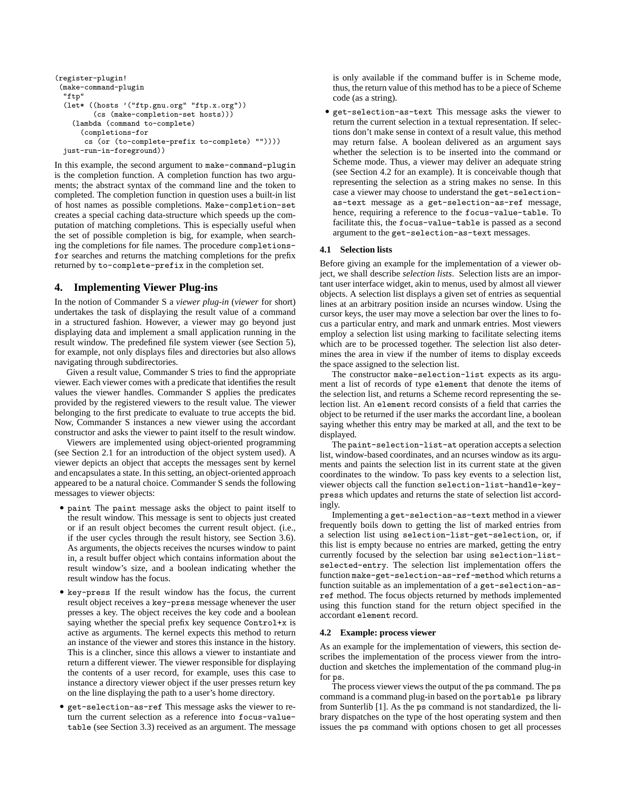```
(register-plugin!
 (make-command-plugin
  "ftp"
 (let* ((hosts '("ftp.gnu.org" "ftp.x.org"))
        (cs (make-completion-set hosts)))
    (lambda (command to-complete)
      (completions-for
      cs (or (to-complete-prefix to-complete) ""))))
 just-run-in-foreground))
```
In this example, the second argument to make-command-plugin is the completion function. A completion function has two arguments; the abstract syntax of the command line and the token to completed. The completion function in question uses a built-in list of host names as possible completions. Make-completion-set creates a special caching data-structure which speeds up the computation of matching completions. This is especially useful when the set of possible completion is big, for example, when searching the completions for file names. The procedure completionsfor searches and returns the matching completions for the prefix returned by to-complete-prefix in the completion set.

# **4. Implementing Viewer Plug-ins**

In the notion of Commander S a *viewer plug-in* (*viewer* for short) undertakes the task of displaying the result value of a command in a structured fashion. However, a viewer may go beyond just displaying data and implement a small application running in the result window. The predefined file system viewer (see Section 5), for example, not only displays files and directories but also allows navigating through subdirectories.

Given a result value, Commander S tries to find the appropriate viewer. Each viewer comes with a predicate that identifies the result values the viewer handles. Commander S applies the predicates provided by the registered viewers to the result value. The viewer belonging to the first predicate to evaluate to true accepts the bid. Now, Commander S instances a new viewer using the accordant constructor and asks the viewer to paint itself to the result window.

Viewers are implemented using object-oriented programming (see Section 2.1 for an introduction of the object system used). A viewer depicts an object that accepts the messages sent by kernel and encapsulates a state. In this setting, an object-oriented approach appeared to be a natural choice. Commander S sends the following messages to viewer objects:

- paint The paint message asks the object to paint itself to the result window. This message is sent to objects just created or if an result object becomes the current result object. (i.e., if the user cycles through the result history, see Section 3.6). As arguments, the objects receives the ncurses window to paint in, a result buffer object which contains information about the result window's size, and a boolean indicating whether the result window has the focus.
- key-press If the result window has the focus, the current result object receives a key-press message whenever the user presses a key. The object receives the key code and a boolean saying whether the special prefix key sequence Control+x is active as arguments. The kernel expects this method to return an instance of the viewer and stores this instance in the history. This is a clincher, since this allows a viewer to instantiate and return a different viewer. The viewer responsible for displaying the contents of a user record, for example, uses this case to instance a directory viewer object if the user presses return key on the line displaying the path to a user's home directory.
- get-selection-as-ref This message asks the viewer to return the current selection as a reference into focus-valuetable (see Section 3.3) received as an argument. The message

is only available if the command buffer is in Scheme mode, thus, the return value of this method has to be a piece of Scheme code (as a string).

• get-selection-as-text This message asks the viewer to return the current selection in a textual representation. If selections don't make sense in context of a result value, this method may return false. A boolean delivered as an argument says whether the selection is to be inserted into the command or Scheme mode. Thus, a viewer may deliver an adequate string (see Section 4.2 for an example). It is conceivable though that representing the selection as a string makes no sense. In this case a viewer may choose to understand the get-selectionas-text message as a get-selection-as-ref message, hence, requiring a reference to the focus-value-table. To facilitate this, the focus-value-table is passed as a second argument to the get-selection-as-text messages.

# **4.1 Selection lists**

Before giving an example for the implementation of a viewer object, we shall describe *selection lists*. Selection lists are an important user interface widget, akin to menus, used by almost all viewer objects. A selection list displays a given set of entries as sequential lines at an arbitrary position inside an ncurses window. Using the cursor keys, the user may move a selection bar over the lines to focus a particular entry, and mark and unmark entries. Most viewers employ a selection list using marking to facilitate selecting items which are to be processed together. The selection list also determines the area in view if the number of items to display exceeds the space assigned to the selection list.

The constructor make-selection-list expects as its argument a list of records of type element that denote the items of the selection list, and returns a Scheme record representing the selection list. An element record consists of a field that carries the object to be returned if the user marks the accordant line, a boolean saying whether this entry may be marked at all, and the text to be displayed.

The paint-selection-list-at operation accepts a selection list, window-based coordinates, and an ncurses window as its arguments and paints the selection list in its current state at the given coordinates to the window. To pass key events to a selection list, viewer objects call the function selection-list-handle-keypress which updates and returns the state of selection list accordingly.

Implementing a get-selection-as-text method in a viewer frequently boils down to getting the list of marked entries from a selection list using selection-list-get-selection, or, if this list is empty because no entries are marked, getting the entry currently focused by the selection bar using selection-listselected-entry. The selection list implementation offers the function make-get-selection-as-ref-method which returns a function suitable as an implementation of a get-selection-asref method. The focus objects returned by methods implemented using this function stand for the return object specified in the accordant element record.

#### **4.2 Example: process viewer**

As an example for the implementation of viewers, this section describes the implementation of the process viewer from the introduction and sketches the implementation of the command plug-in for ps.

The process viewer views the output of the ps command. The ps command is a command plug-in based on the portable ps library from Sunterlib [1]. As the ps command is not standardized, the library dispatches on the type of the host operating system and then issues the ps command with options chosen to get all processes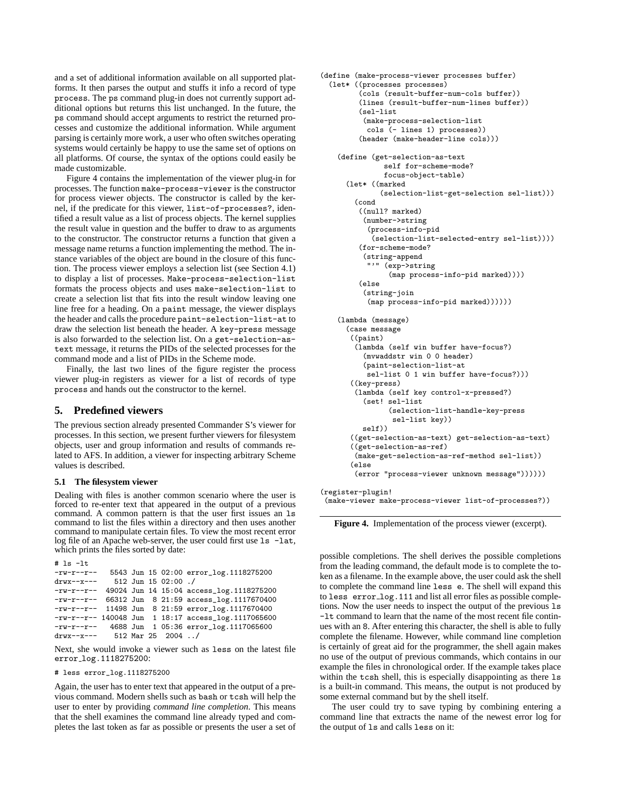and a set of additional information available on all supported platforms. It then parses the output and stuffs it info a record of type process. The ps command plug-in does not currently support additional options but returns this list unchanged. In the future, the ps command should accept arguments to restrict the returned processes and customize the additional information. While argument parsing is certainly more work, a user who often switches operating systems would certainly be happy to use the same set of options on all platforms. Of course, the syntax of the options could easily be made customizable.

Figure 4 contains the implementation of the viewer plug-in for processes. The function make-process-viewer is the constructor for process viewer objects. The constructor is called by the kernel, if the predicate for this viewer, list-of-processes?, identified a result value as a list of process objects. The kernel supplies the result value in question and the buffer to draw to as arguments to the constructor. The constructor returns a function that given a message name returns a function implementing the method. The instance variables of the object are bound in the closure of this function. The process viewer employs a selection list (see Section 4.1) to display a list of processes. Make-process-selection-list formats the process objects and uses make-selection-list to create a selection list that fits into the result window leaving one line free for a heading. On a paint message, the viewer displays the header and calls the procedure paint-selection-list-at to draw the selection list beneath the header. A key-press message is also forwarded to the selection list. On a get-selection-astext message, it returns the PIDs of the selected processes for the command mode and a list of PIDs in the Scheme mode.

Finally, the last two lines of the figure register the process viewer plug-in registers as viewer for a list of records of type process and hands out the constructor to the kernel.

# **5. Predefined viewers**

The previous section already presented Commander S's viewer for processes. In this section, we present further viewers for filesystem objects, user and group information and results of commands related to AFS. In addition, a viewer for inspecting arbitrary Scheme values is described.

# **5.1 The filesystem viewer**

Dealing with files is another common scenario where the user is forced to re-enter text that appeared in the output of a previous command. A common pattern is that the user first issues an ls command to list the files within a directory and then uses another command to manipulate certain files. To view the most recent error log file of an Apache web-server, the user could first use  $\text{ls}$  -lat, which prints the files sorted by date:

```
# ls -lt
-rw-r--r-- 5543 Jun 15 02:00 error_log.1118275200<br>drwx--x--- 512 Jun 15 02:00 /
drwx--x--- 512 Jun 15 02:00 ./<br>-rw-r--r-- 49024 Jun 14 15:04 ac
              49024 Jun 14 15:04 access_log.1118275200
-rw-r--r-- 66312 Jun 8 21:59 access_log.1117670400
-rw-r--r-- 11498 Jun 8 21:59 error_log.1117670400
-rw-r--r-- 140048 Jun 1 18:17 access_log.1117065600
-rw-r--r-- 4688 Jun 1 05:36 error_log.1117065600<br>drwx--x--- 512 Mar 25 2004 ../
                 512 Mar 25 2004 ../
```
Next, she would invoke a viewer such as less on the latest file error log.1118275200:

# less error\_log.1118275200

Again, the user has to enter text that appeared in the output of a previous command. Modern shells such as bash or tcsh will help the user to enter by providing *command line completion*. This means that the shell examines the command line already typed and completes the last token as far as possible or presents the user a set of

```
(define (make-process-viewer processes buffer)
  (let* ((processes processes)
         (cols (result-buffer-num-cols buffer))
         (lines (result-buffer-num-lines buffer))
         (sel-list
          (make-process-selection-list
           cols (- lines 1) processes))
         (header (make-header-line cols)))
    (define (get-selection-as-text
               self for-scheme-mode?
               focus-object-table)
      (let* ((marked
              (selection-list-get-selection sel-list)))
        (cond
         ((null? marked)
          (number->string
           (process-info-pid
            (selection-list-selected-entry sel-list))))
         (for-scheme-mode?
          (string-append
           "'" (exp->string
                (map process-info-pid marked))))
         (else
          (string-join
           (map process-info-pid marked))))))
    (lambda (message)
      (case message
       ((paint)
        (lambda (self win buffer have-focus?)
          (mvwaddstr win 0 0 header)
          (paint-selection-list-at
           sel-list 0 1 win buffer have-focus?)))
       ((key-press)
        (lambda (self key control-x-pressed?)
          (set! sel-list
                (selection-list-handle-key-press
                 sel-list key))
          self))
       ((get-selection-as-text) get-selection-as-text)
       ((get-selection-as-ref)
        (make-get-selection-as-ref-method sel-list))
       (else
        (error "process-viewer unknown message"))))))
(register-plugin!
```
(make-viewer make-process-viewer list-of-processes?))

**Figure 4.** Implementation of the process viewer (excerpt).

possible completions. The shell derives the possible completions from the leading command, the default mode is to complete the token as a filename. In the example above, the user could ask the shell to complete the command line less e. The shell will expand this to less error log.111 and list all error files as possible completions. Now the user needs to inspect the output of the previous ls -lt command to learn that the name of the most recent file continues with an 8. After entering this character, the shell is able to fully complete the filename. However, while command line completion is certainly of great aid for the programmer, the shell again makes no use of the output of previous commands, which contains in our example the files in chronological order. If the example takes place within the tcsh shell, this is especially disappointing as there ls is a built-in command. This means, the output is not produced by some external command but by the shell itself.

The user could try to save typing by combining entering a command line that extracts the name of the newest error log for the output of ls and calls less on it: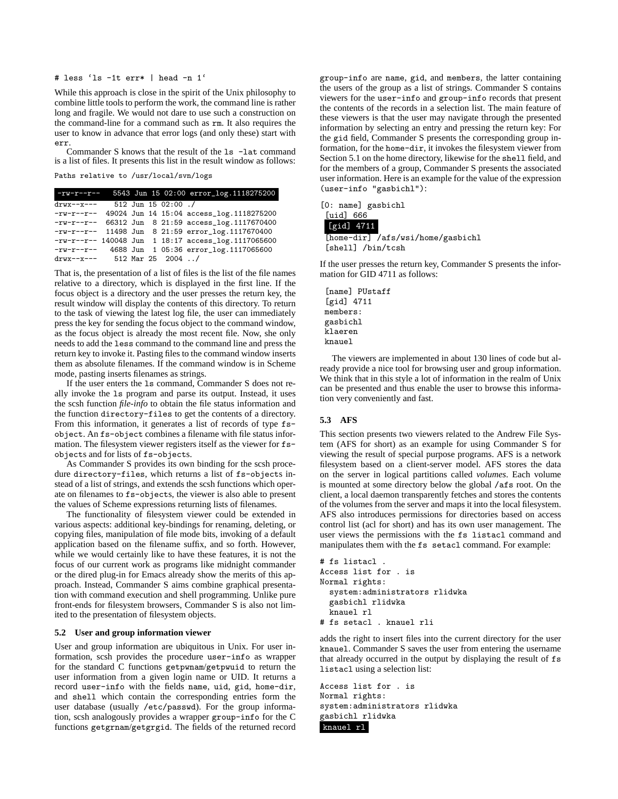# # less 'ls -1t err\* | head -n 1'

While this approach is close in the spirit of the Unix philosophy to combine little tools to perform the work, the command line is rather long and fragile. We would not dare to use such a construction on the command-line for a command such as rm. It also requires the user to know in advance that error logs (and only these) start with err.

Commander S knows that the result of the ls -lat command is a list of files. It presents this list in the result window as follows: Paths relative to /usr/local/svn/logs

| $-rw-r--r--$                   |  |                     | 5543 Jun 15 02:00 error_log.1118275200                |
|--------------------------------|--|---------------------|-------------------------------------------------------|
| $\text{drw}$ x--x---           |  | 512 Jun 15 02:00 ./ |                                                       |
|                                |  |                     | $-rw-r--r--$ 49024 Jun 14 15:04 access_log.1118275200 |
|                                |  |                     | $-rw-r--r--$ 66312 Jun 8 21:59 access_log.1117670400  |
|                                |  |                     | $-rw-r--r--$ 11498 Jun 8 21:59 $error_log.1117670400$ |
|                                |  |                     | $-rw-r--r--$ 140048 Jun 1 18:17 access_log.1117065600 |
| -rw-r--r-- 4688 Jun            |  |                     | 1 05:36 error_log.1117065600                          |
| drwx--x--- $512$ Mar 25 2004 / |  |                     |                                                       |

That is, the presentation of a list of files is the list of the file names relative to a directory, which is displayed in the first line. If the focus object is a directory and the user presses the return key, the result window will display the contents of this directory. To return to the task of viewing the latest log file, the user can immediately press the key for sending the focus object to the command window, as the focus object is already the most recent file. Now, she only needs to add the less command to the command line and press the return key to invoke it. Pasting files to the command window inserts them as absolute filenames. If the command window is in Scheme mode, pasting inserts filenames as strings.

If the user enters the ls command, Commander S does not really invoke the ls program and parse its output. Instead, it uses the scsh function *file-info* to obtain the file status information and the function directory-files to get the contents of a directory. From this information, it generates a list of records of type fsobject. An fs-object combines a filename with file status information. The filesystem viewer registers itself as the viewer for fsobjects and for lists of fs-objects.

As Commander S provides its own binding for the scsh procedure directory-files, which returns a list of fs-objects instead of a list of strings, and extends the scsh functions which operate on filenames to fs-objects, the viewer is also able to present the values of Scheme expressions returning lists of filenames.

The functionality of filesystem viewer could be extended in various aspects: additional key-bindings for renaming, deleting, or copying files, manipulation of file mode bits, invoking of a default application based on the filename suffix, and so forth. However, while we would certainly like to have these features, it is not the focus of our current work as programs like midnight commander or the dired plug-in for Emacs already show the merits of this approach. Instead, Commander S aims combine graphical presentation with command execution and shell programming. Unlike pure front-ends for filesystem browsers, Commander S is also not limited to the presentation of filesystem objects.

#### **5.2 User and group information viewer**

User and group information are ubiquitous in Unix. For user information, scsh provides the procedure user-info as wrapper for the standard C functions getpwnam/getpwuid to return the user information from a given login name or UID. It returns a record user-info with the fields name, uid, gid, home-dir, and shell which contain the corresponding entries form the user database (usually /etc/passwd). For the group information, scsh analogously provides a wrapper group-info for the C functions getgrnam/getgrgid. The fields of the returned record

group-info are name, gid, and members, the latter containing the users of the group as a list of strings. Commander S contains viewers for the user-info and group-info records that present the contents of the records in a selection list. The main feature of these viewers is that the user may navigate through the presented information by selecting an entry and pressing the return key: For the gid field, Commander S presents the corresponding group information, for the home-dir, it invokes the filesystem viewer from Section 5.1 on the home directory, likewise for the shell field, and for the members of a group, Commander S presents the associated user information. Here is an example for the value of the expression (user-info "gasbichl"):

|  |  | [0: name] gasbichl |
|--|--|--------------------|
|--|--|--------------------|

| <b>Tuidl 666</b>     |                                   |
|----------------------|-----------------------------------|
| $[\text{grid}]$ 4711 |                                   |
|                      | [home-dir] /afs/wsi/home/gasbichl |
| [shell] /bin/tcsh    |                                   |

If the user presses the return key, Commander S presents the information for GID 4711 as follows:

[name] PUstaff [gid] 4711 members: gasbichl klaeren knauel

The viewers are implemented in about 130 lines of code but already provide a nice tool for browsing user and group information. We think that in this style a lot of information in the realm of Unix can be presented and thus enable the user to browse this information very conveniently and fast.

## **5.3 AFS**

This section presents two viewers related to the Andrew File System (AFS for short) as an example for using Commander S for viewing the result of special purpose programs. AFS is a network filesystem based on a client-server model. AFS stores the data on the server in logical partitions called *volumes*. Each volume is mounted at some directory below the global /afs root. On the client, a local daemon transparently fetches and stores the contents of the volumes from the server and maps it into the local filesystem. AFS also introduces permissions for directories based on access control list (acl for short) and has its own user management. The user views the permissions with the fs listacl command and manipulates them with the fs setacl command. For example:

```
# fs listacl .
Access list for . is
Normal rights:
  system:administrators rlidwka
  gasbichl rlidwka
  knauel rl
# fs setacl . knauel rli
```
adds the right to insert files into the current directory for the user knauel. Commander S saves the user from entering the username that already occurred in the output by displaying the result of fs listacl using a selection list:

Access list for . is Normal rights: system:administrators rlidwka gasbichl rlidwka knauel rl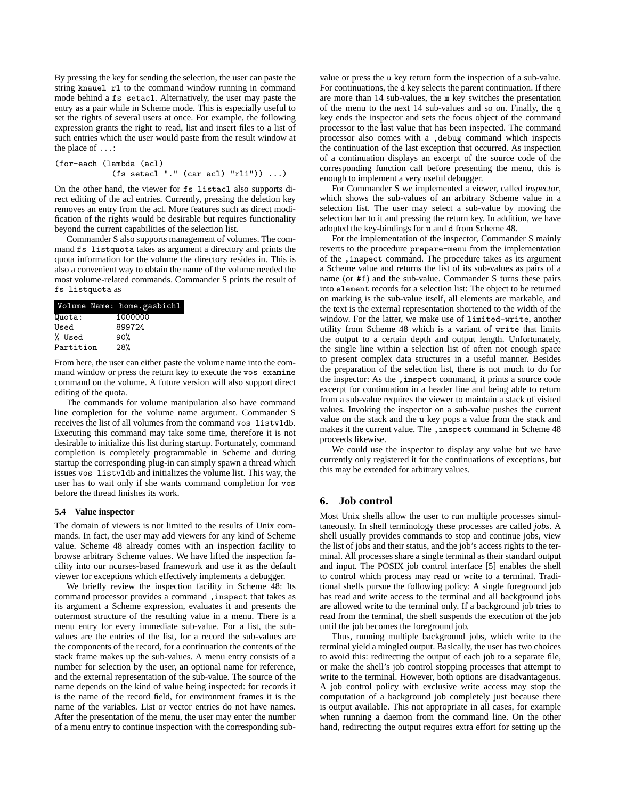By pressing the key for sending the selection, the user can paste the string knauel rl to the command window running in command mode behind a fs setacl. Alternatively, the user may paste the entry as a pair while in Scheme mode. This is especially useful to set the rights of several users at once. For example, the following expression grants the right to read, list and insert files to a list of such entries which the user would paste from the result window at the place of ...:

(for-each (lambda (acl)  $(fs \text{ setac1}".$ " (car acl) "rli")) ...)

On the other hand, the viewer for fs listacl also supports direct editing of the acl entries. Currently, pressing the deletion key removes an entry from the acl. More features such as direct modification of the rights would be desirable but requires functionality beyond the current capabilities of the selection list.

Commander S also supports management of volumes. The command fs listquota takes as argument a directory and prints the quota information for the volume the directory resides in. This is also a convenient way to obtain the name of the volume needed the most volume-related commands. Commander S prints the result of fs listquota as

| Volume Name: home.gasbichl |
|----------------------------|
| 1000000                    |
| 899724                     |
| 90%                        |
| 28%<br>Partition           |
|                            |

From here, the user can either paste the volume name into the command window or press the return key to execute the vos examine command on the volume. A future version will also support direct editing of the quota.

The commands for volume manipulation also have command line completion for the volume name argument. Commander S receives the list of all volumes from the command vos listvldb. Executing this command may take some time, therefore it is not desirable to initialize this list during startup. Fortunately, command completion is completely programmable in Scheme and during startup the corresponding plug-in can simply spawn a thread which issues vos listvldb and initializes the volume list. This way, the user has to wait only if she wants command completion for vos before the thread finishes its work.

#### **5.4 Value inspector**

The domain of viewers is not limited to the results of Unix commands. In fact, the user may add viewers for any kind of Scheme value. Scheme 48 already comes with an inspection facility to browse arbitrary Scheme values. We have lifted the inspection facility into our ncurses-based framework and use it as the default viewer for exceptions which effectively implements a debugger.

We briefly review the inspection facility in Scheme 48: Its command processor provides a command ,inspect that takes as its argument a Scheme expression, evaluates it and presents the outermost structure of the resulting value in a menu. There is a menu entry for every immediate sub-value. For a list, the subvalues are the entries of the list, for a record the sub-values are the components of the record, for a continuation the contents of the stack frame makes up the sub-values. A menu entry consists of a number for selection by the user, an optional name for reference, and the external representation of the sub-value. The source of the name depends on the kind of value being inspected: for records it is the name of the record field, for environment frames it is the name of the variables. List or vector entries do not have names. After the presentation of the menu, the user may enter the number of a menu entry to continue inspection with the corresponding sub-

value or press the u key return form the inspection of a sub-value. For continuations, the d key selects the parent continuation. If there are more than 14 sub-values, the m key switches the presentation of the menu to the next 14 sub-values and so on. Finally, the q key ends the inspector and sets the focus object of the command processor to the last value that has been inspected. The command processor also comes with a ,debug command which inspects the continuation of the last exception that occurred. As inspection of a continuation displays an excerpt of the source code of the corresponding function call before presenting the menu, this is enough to implement a very useful debugger.

For Commander S we implemented a viewer, called *inspector*, which shows the sub-values of an arbitrary Scheme value in a selection list. The user may select a sub-value by moving the selection bar to it and pressing the return key. In addition, we have adopted the key-bindings for u and d from Scheme 48.

For the implementation of the inspector, Commander S mainly reverts to the procedure prepare-menu from the implementation of the ,inspect command. The procedure takes as its argument a Scheme value and returns the list of its sub-values as pairs of a name (or #f) and the sub-value. Commander S turns these pairs into element records for a selection list: The object to be returned on marking is the sub-value itself, all elements are markable, and the text is the external representation shortened to the width of the window. For the latter, we make use of limited-write, another utility from Scheme 48 which is a variant of write that limits the output to a certain depth and output length. Unfortunately, the single line within a selection list of often not enough space to present complex data structures in a useful manner. Besides the preparation of the selection list, there is not much to do for the inspector: As the ,inspect command, it prints a source code excerpt for continuation in a header line and being able to return from a sub-value requires the viewer to maintain a stack of visited values. Invoking the inspector on a sub-value pushes the current value on the stack and the u key pops a value from the stack and makes it the current value. The , inspect command in Scheme 48 proceeds likewise.

We could use the inspector to display any value but we have currently only registered it for the continuations of exceptions, but this may be extended for arbitrary values.

# **6. Job control**

Most Unix shells allow the user to run multiple processes simultaneously. In shell terminology these processes are called *jobs*. A shell usually provides commands to stop and continue jobs, view the list of jobs and their status, and the job's access rights to the terminal. All processes share a single terminal as their standard output and input. The POSIX job control interface [5] enables the shell to control which process may read or write to a terminal. Traditional shells pursue the following policy: A single foreground job has read and write access to the terminal and all background jobs are allowed write to the terminal only. If a background job tries to read from the terminal, the shell suspends the execution of the job until the job becomes the foreground job.

Thus, running multiple background jobs, which write to the terminal yield a mingled output. Basically, the user has two choices to avoid this: redirecting the output of each job to a separate file, or make the shell's job control stopping processes that attempt to write to the terminal. However, both options are disadvantageous. A job control policy with exclusive write access may stop the computation of a background job completely just because there is output available. This not appropriate in all cases, for example when running a daemon from the command line. On the other hand, redirecting the output requires extra effort for setting up the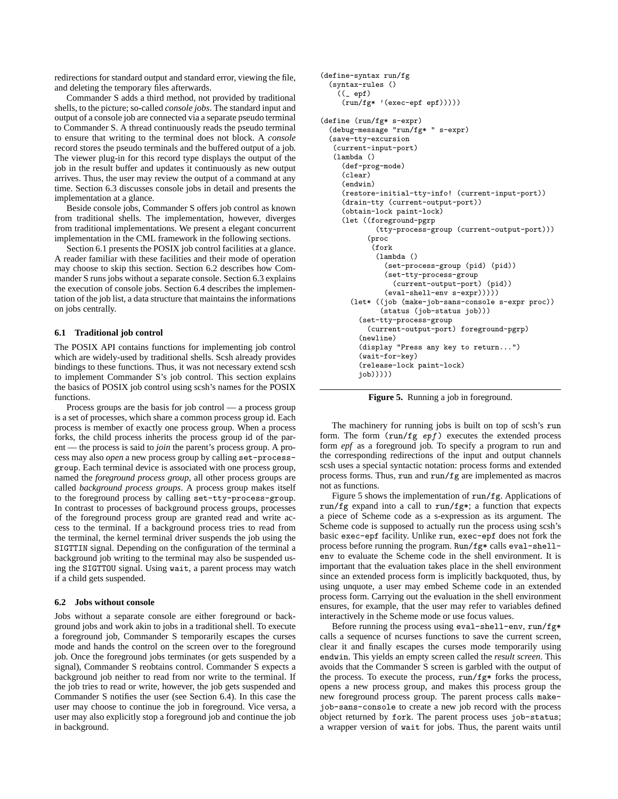redirections for standard output and standard error, viewing the file, and deleting the temporary files afterwards.

Commander S adds a third method, not provided by traditional shells, to the picture; so-called *console jobs*. The standard input and output of a console job are connected via a separate pseudo terminal to Commander S. A thread continuously reads the pseudo terminal to ensure that writing to the terminal does not block. A *console* record stores the pseudo terminals and the buffered output of a job. The viewer plug-in for this record type displays the output of the job in the result buffer and updates it continuously as new output arrives. Thus, the user may review the output of a command at any time. Section 6.3 discusses console jobs in detail and presents the implementation at a glance.

Beside console jobs, Commander S offers job control as known from traditional shells. The implementation, however, diverges from traditional implementations. We present a elegant concurrent implementation in the CML framework in the following sections.

Section 6.1 presents the POSIX job control facilities at a glance. A reader familiar with these facilities and their mode of operation may choose to skip this section. Section 6.2 describes how Commander S runs jobs without a separate console. Section 6.3 explains the execution of console jobs. Section 6.4 describes the implementation of the job list, a data structure that maintains the informations on jobs centrally.

## **6.1 Traditional job control**

The POSIX API contains functions for implementing job control which are widely-used by traditional shells. Scsh already provides bindings to these functions. Thus, it was not necessary extend scsh to implement Commander S's job control. This section explains the basics of POSIX job control using scsh's names for the POSIX functions.

Process groups are the basis for job control — a process group is a set of processes, which share a common process group id. Each process is member of exactly one process group. When a process forks, the child process inherits the process group id of the parent — the process is said to *join* the parent's process group. A process may also *open* a new process group by calling set-processgroup. Each terminal device is associated with one process group, named the *foreground process group*, all other process groups are called *background process groups*. A process group makes itself to the foreground process by calling set-tty-process-group. In contrast to processes of background process groups, processes of the foreground process group are granted read and write access to the terminal. If a background process tries to read from the terminal, the kernel terminal driver suspends the job using the SIGTTIN signal. Depending on the configuration of the terminal a background job writing to the terminal may also be suspended using the SIGTTOU signal. Using wait, a parent process may watch if a child gets suspended.

#### **6.2 Jobs without console**

Jobs without a separate console are either foreground or background jobs and work akin to jobs in a traditional shell. To execute a foreground job, Commander S temporarily escapes the curses mode and hands the control on the screen over to the foreground job. Once the foreground jobs terminates (or gets suspended by a signal), Commander S reobtains control. Commander S expects a background job neither to read from nor write to the terminal. If the job tries to read or write, however, the job gets suspended and Commander S notifies the user (see Section 6.4). In this case the user may choose to continue the job in foreground. Vice versa, a user may also explicitly stop a foreground job and continue the job in background.

```
(define-syntax run/fg
  (syntax-rules ()
    ((\_epf))(run/fg* '(exec-epf epf)))))
(define (run/fg* s-expr)
  (debug-message "run/fg* " s-expr)
  (save-tty-excursion
   (current-input-port)
   (lambda ()
     (def-prog-mode)
     (clear)
     (endwin)
     (restore-initial-tty-info! (current-input-port))
     (drain-tty (current-output-port))
     (obtain-lock paint-lock)
     (let ((foreground-pgrp
             (tty-process-group (current-output-port)))
           (proc
            (fork
             (lambda ()
               (set-process-group (pid) (pid))
               (set-tty-process-group
                 (current-output-port) (pid))
               (eval-shell-env s-expr)))))
       (let* ((job (make-job-sans-console s-expr proc))
              (status (job-status job)))
         (set-tty-process-group
           (current-output-port) foreground-pgrp)
         (newline)
         (display "Press any key to return...")
         (wait-for-key)
         (release-lock paint-lock)
         (iob))))
```
**Figure 5.** Running a job in foreground.

The machinery for running jobs is built on top of scsh's run form. The form  $(run/fg$  epf) executes the extended process form *epf* as a foreground job. To specify a program to run and the corresponding redirections of the input and output channels scsh uses a special syntactic notation: process forms and extended process forms. Thus, run and run/fg are implemented as macros not as functions.

Figure 5 shows the implementation of run/fg. Applications of run/fg expand into a call to run/fg\*; a function that expects a piece of Scheme code as a s-expression as its argument. The Scheme code is supposed to actually run the process using scsh's basic exec-epf facility. Unlike run, exec-epf does not fork the process before running the program. Run/fg\* calls eval-shellenv to evaluate the Scheme code in the shell environment. It is important that the evaluation takes place in the shell environment since an extended process form is implicitly backquoted, thus, by using unquote, a user may embed Scheme code in an extended process form. Carrying out the evaluation in the shell environment ensures, for example, that the user may refer to variables defined interactively in the Scheme mode or use focus values.

Before running the process using eval-shell-env, run/fg\* calls a sequence of ncurses functions to save the current screen, clear it and finally escapes the curses mode temporarily using endwin. This yields an empty screen called the *result screen*. This avoids that the Commander S screen is garbled with the output of the process. To execute the process, run/fg\* forks the process, opens a new process group, and makes this process group the new foreground process group. The parent process calls makejob-sans-console to create a new job record with the process object returned by fork. The parent process uses job-status; a wrapper version of wait for jobs. Thus, the parent waits until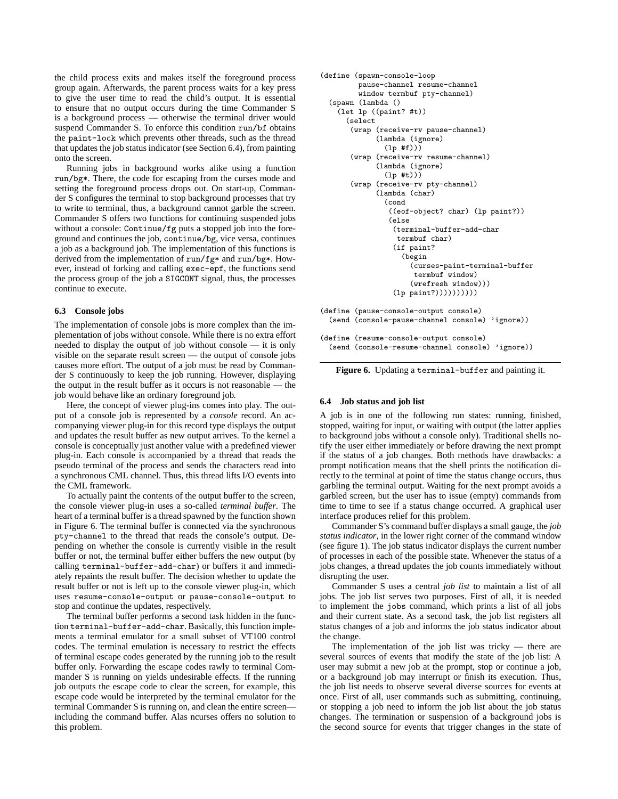the child process exits and makes itself the foreground process group again. Afterwards, the parent process waits for a key press to give the user time to read the child's output. It is essential to ensure that no output occurs during the time Commander S is a background process — otherwise the terminal driver would suspend Commander S. To enforce this condition run/bf obtains the paint-lock which prevents other threads, such as the thread that updates the job status indicator (see Section 6.4), from painting onto the screen.

Running jobs in background works alike using a function run/bg\*. There, the code for escaping from the curses mode and setting the foreground process drops out. On start-up, Commander S configures the terminal to stop background processes that try to write to terminal, thus, a background cannot garble the screen. Commander S offers two functions for continuing suspended jobs without a console: Continue/fg puts a stopped job into the foreground and continues the job, continue/bg, vice versa, continues a job as a background job. The implementation of this functions is derived from the implementation of run/fg\* and run/bg\*. However, instead of forking and calling exec-epf, the functions send the process group of the job a SIGCONT signal, thus, the processes continue to execute.

#### **6.3 Console jobs**

The implementation of console jobs is more complex than the implementation of jobs without console. While there is no extra effort needed to display the output of job without console — it is only visible on the separate result screen — the output of console jobs causes more effort. The output of a job must be read by Commander S continuously to keep the job running. However, displaying the output in the result buffer as it occurs is not reasonable — the job would behave like an ordinary foreground job.

Here, the concept of viewer plug-ins comes into play. The output of a console job is represented by a *console* record. An accompanying viewer plug-in for this record type displays the output and updates the result buffer as new output arrives. To the kernel a console is conceptually just another value with a predefined viewer plug-in. Each console is accompanied by a thread that reads the pseudo terminal of the process and sends the characters read into a synchronous CML channel. Thus, this thread lifts I/O events into the CML framework.

To actually paint the contents of the output buffer to the screen, the console viewer plug-in uses a so-called *terminal buffer*. The heart of a terminal buffer is a thread spawned by the function shown in Figure 6. The terminal buffer is connected via the synchronous pty-channel to the thread that reads the console's output. Depending on whether the console is currently visible in the result buffer or not, the terminal buffer either buffers the new output (by calling terminal-buffer-add-char) or buffers it and immediately repaints the result buffer. The decision whether to update the result buffer or not is left up to the console viewer plug-in, which uses resume-console-output or pause-console-output to stop and continue the updates, respectively.

The terminal buffer performs a second task hidden in the function terminal-buffer-add-char. Basically, this function implements a terminal emulator for a small subset of VT100 control codes. The terminal emulation is necessary to restrict the effects of terminal escape codes generated by the running job to the result buffer only. Forwarding the escape codes rawly to terminal Commander S is running on yields undesirable effects. If the running job outputs the escape code to clear the screen, for example, this escape code would be interpreted by the terminal emulator for the terminal Commander S is running on, and clean the entire screen including the command buffer. Alas ncurses offers no solution to this problem.

```
(define (spawn-console-loop
         pause-channel resume-channel
         window termbuf pty-channel)
  (spawn (lambda ()
    (let lp ((paint? #t))
      (select
       (wrap (receive-rv pause-channel)
             (lambda (ignore)
               (lp #f)))
       (wrap (receive-rv resume-channel)
             (lambda (ignore)
               (lp #t)))(wrap (receive-rv pty-channel)
             (lambda (char)
               (cond
                ((eof-object? char) (lp paint?))
                (else
                 (terminal-buffer-add-char
                  termbuf char)
                 (if paint?
                   (begin
                     (curses-paint-terminal-buffer
                      termbuf window)
                     (wrefresh window)))
                 (lp paint?))))))))))
(define (pause-console-output console)
  (send (console-pause-channel console) 'ignore))
(define (resume-console-output console)
  (send (console-resume-channel console) 'ignore))
```
**Figure 6.** Updating a terminal-buffer and painting it.

#### **6.4 Job status and job list**

A job is in one of the following run states: running, finished, stopped, waiting for input, or waiting with output (the latter applies to background jobs without a console only). Traditional shells notify the user either immediately or before drawing the next prompt if the status of a job changes. Both methods have drawbacks: a prompt notification means that the shell prints the notification directly to the terminal at point of time the status change occurs, thus garbling the terminal output. Waiting for the next prompt avoids a garbled screen, but the user has to issue (empty) commands from time to time to see if a status change occurred. A graphical user interface produces relief for this problem.

Commander S's command buffer displays a small gauge, the *job status indicator*, in the lower right corner of the command window (see figure 1). The job status indicator displays the current number of processes in each of the possible state. Whenever the status of a jobs changes, a thread updates the job counts immediately without disrupting the user.

Commander S uses a central *job list* to maintain a list of all jobs. The job list serves two purposes. First of all, it is needed to implement the jobs command, which prints a list of all jobs and their current state. As a second task, the job list registers all status changes of a job and informs the job status indicator about the change.

The implementation of the job list was tricky  $-$  there are several sources of events that modify the state of the job list: A user may submit a new job at the prompt, stop or continue a job, or a background job may interrupt or finish its execution. Thus, the job list needs to observe several diverse sources for events at once. First of all, user commands such as submitting, continuing, or stopping a job need to inform the job list about the job status changes. The termination or suspension of a background jobs is the second source for events that trigger changes in the state of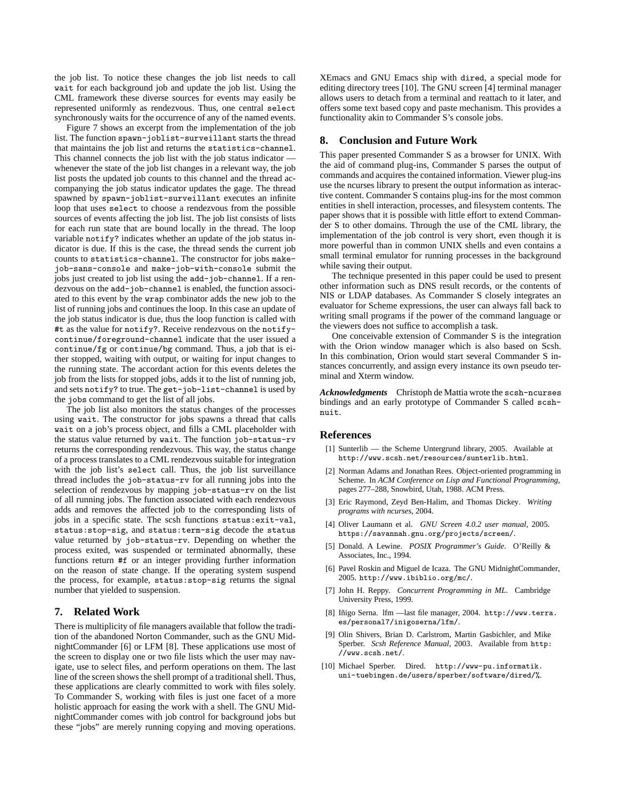the job list. To notice these changes the job list needs to call wait for each background job and update the job list. Using the CML framework these diverse sources for events may easily be represented uniformly as rendezvous. Thus, one central select synchronously waits for the occurrence of any of the named events.

Figure 7 shows an excerpt from the implementation of the job list. The function spawn-joblist-surveillant starts the thread that maintains the job list and returns the statistics-channel. This channel connects the job list with the job status indicator whenever the state of the job list changes in a relevant way, the job list posts the updated job counts to this channel and the thread accompanying the job status indicator updates the gage. The thread spawned by spawn-joblist-surveillant executes an infinite loop that uses select to choose a rendezvous from the possible sources of events affecting the job list. The job list consists of lists for each run state that are bound locally in the thread. The loop variable notify? indicates whether an update of the job status indicator is due. If this is the case, the thread sends the current job counts to statistics-channel. The constructor for jobs makejob-sans-console and make-job-with-console submit the jobs just created to job list using the add-job-channel. If a rendezvous on the add-job-channel is enabled, the function associated to this event by the wrap combinator adds the new job to the list of running jobs and continues the loop. In this case an update of the job status indicator is due, thus the loop function is called with #t as the value for notify?. Receive rendezvous on the notifycontinue/foreground-channel indicate that the user issued a continue/fg or continue/bg command. Thus, a job that is either stopped, waiting with output, or waiting for input changes to the running state. The accordant action for this events deletes the job from the lists for stopped jobs, adds it to the list of running job, and sets notify? to true. The get-job-list-channel is used by the jobs command to get the list of all jobs.

The job list also monitors the status changes of the processes using wait. The constructor for jobs spawns a thread that calls wait on a job's process object, and fills a CML placeholder with the status value returned by wait. The function job-status-rv returns the corresponding rendezvous. This way, the status change of a process translates to a CML rendezvous suitable for integration with the job list's select call. Thus, the job list surveillance thread includes the job-status-rv for all running jobs into the selection of rendezvous by mapping job-status-rv on the list of all running jobs. The function associated with each rendezvous adds and removes the affected job to the corresponding lists of jobs in a specific state. The scsh functions status:exit-val, status:stop-sig, and status:term-sig decode the status value returned by job-status-rv. Depending on whether the process exited, was suspended or terminated abnormally, these functions return #f or an integer providing further information on the reason of state change. If the operating system suspend the process, for example, status:stop-sig returns the signal number that yielded to suspension.

# **7. Related Work**

There is multiplicity of file managers available that follow the tradition of the abandoned Norton Commander, such as the GNU MidnightCommander [6] or LFM [8]. These applications use most of the screen to display one or two file lists which the user may navigate, use to select files, and perform operations on them. The last line of the screen shows the shell prompt of a traditional shell. Thus, these applications are clearly committed to work with files solely. To Commander S, working with files is just one facet of a more holistic approach for easing the work with a shell. The GNU MidnightCommander comes with job control for background jobs but these "jobs" are merely running copying and moving operations.

XEmacs and GNU Emacs ship with dired, a special mode for editing directory trees [10]. The GNU screen [4] terminal manager allows users to detach from a terminal and reattach to it later, and offers some text based copy and paste mechanism. This provides a functionality akin to Commander S's console jobs.

## **8. Conclusion and Future Work**

This paper presented Commander S as a browser for UNIX. With the aid of command plug-ins, Commander S parses the output of commands and acquires the contained information. Viewer plug-ins use the ncurses library to present the output information as interactive content. Commander S contains plug-ins for the most common entities in shell interaction, processes, and filesystem contents. The paper shows that it is possible with little effort to extend Commander S to other domains. Through the use of the CML library, the implementation of the job control is very short, even though it is more powerful than in common UNIX shells and even contains a small terminal emulator for running processes in the background while saving their output.

The technique presented in this paper could be used to present other information such as DNS result records, or the contents of NIS or LDAP databases. As Commander S closely integrates an evaluator for Scheme expressions, the user can always fall back to writing small programs if the power of the command language or the viewers does not suffice to accomplish a task.

One conceivable extension of Commander S is the integration with the Orion window manager which is also based on Scsh. In this combination, Orion would start several Commander S instances concurrently, and assign every instance its own pseudo terminal and Xterm window.

*Acknowledgments* Christoph de Mattia wrote the scsh-ncurses bindings and an early prototype of Commander S called scshnuit.

# **References**

- [1] Sunterlib the Scheme Untergrund library, 2005. Available at http://www.scsh.net/resources/sunterlib.html.
- [2] Norman Adams and Jonathan Rees. Object-oriented programming in Scheme. In *ACM Conference on Lisp and Functional Programming*, pages 277–288, Snowbird, Utah, 1988. ACM Press.
- [3] Eric Raymond, Zeyd Ben-Halim, and Thomas Dickey. *Writing programs with ncurses*, 2004.
- [4] Oliver Laumann et al. *GNU Screen 4.0.2 user manual*, 2005. https://savannah.gnu.org/projects/screen/.
- [5] Donald. A Lewine. *POSIX Programmer's Guide*. O'Reilly & Associates, Inc., 1994.
- [6] Pavel Roskin and Miguel de Icaza. The GNU MidnightCommander, 2005. http://www.ibiblio.org/mc/.
- [7] John H. Reppy. *Concurrent Programming in ML*. Cambridge University Press, 1999.
- [8] Iñigo Serna. lfm —last file manager, 2004. http://www.terra. es/personal7/inigoserna/lfm/.
- [9] Olin Shivers, Brian D. Carlstrom, Martin Gasbichler, and Mike Sperber. *Scsh Reference Manual*, 2003. Available from http: //www.scsh.net/.
- [10] Michael Sperber. Dired. http://www-pu.informatik. uni-tuebingen.de/users/sperber/software/dired/%.